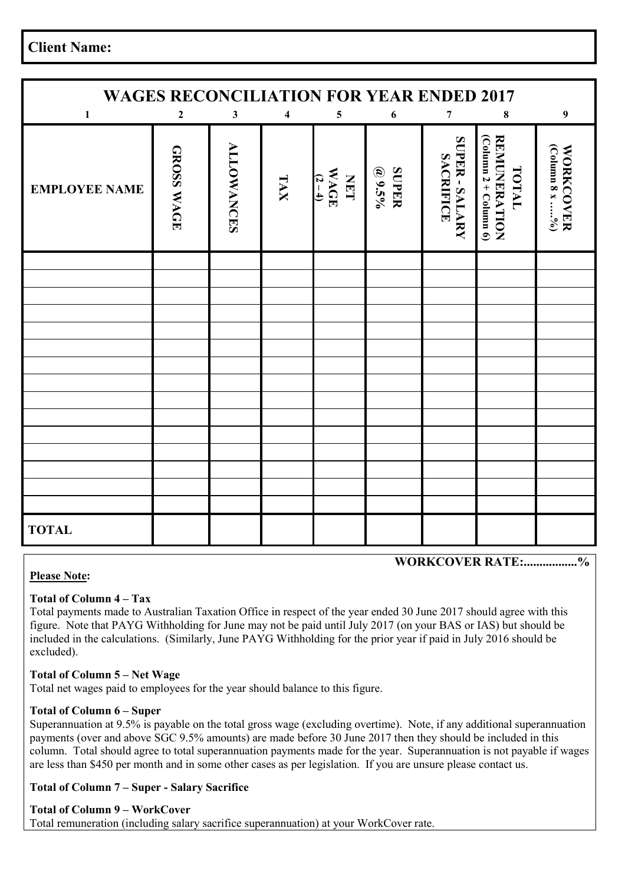**Client Name:** 

| <b>WAGES RECONCILIATION FOR YEAR ENDED 2017</b> |                  |                   |                         |                                         |                          |                                  |                                                         |                                    |
|-------------------------------------------------|------------------|-------------------|-------------------------|-----------------------------------------|--------------------------|----------------------------------|---------------------------------------------------------|------------------------------------|
| $\mathbf{1}$                                    | $\boldsymbol{2}$ | $\mathbf{3}$      | $\overline{\mathbf{4}}$ | $\overline{\mathbf{5}}$                 | 6                        | $\pmb{7}$                        | 8                                                       | $\boldsymbol{9}$                   |
| <b>EMPLOYEE NAME</b>                            | GROSS WAGE       | <b>ALLOWANCES</b> | TAX                     | <b>WAGE</b><br><b>THET</b><br>$(2 - 4)$ | <b>SUPER</b><br>$Q$ 9.5% | SUPER-SALARY<br><b>SACRIFICE</b> | $(Colunn 2 + Colunn 6)$<br><b>REMUNERATION</b><br>TOTAL | (Column 8 x %)<br><b>WORKCOVER</b> |
|                                                 |                  |                   |                         |                                         |                          |                                  |                                                         |                                    |
|                                                 |                  |                   |                         |                                         |                          |                                  |                                                         |                                    |
|                                                 |                  |                   |                         |                                         |                          |                                  |                                                         |                                    |
|                                                 |                  |                   |                         |                                         |                          |                                  |                                                         |                                    |
|                                                 |                  |                   |                         |                                         |                          |                                  |                                                         |                                    |
|                                                 |                  |                   |                         |                                         |                          |                                  |                                                         |                                    |
|                                                 |                  |                   |                         |                                         |                          |                                  |                                                         |                                    |
|                                                 |                  |                   |                         |                                         |                          |                                  |                                                         |                                    |
|                                                 |                  |                   |                         |                                         |                          |                                  |                                                         |                                    |
|                                                 |                  |                   |                         |                                         |                          |                                  |                                                         |                                    |
|                                                 |                  |                   |                         |                                         |                          |                                  |                                                         |                                    |
|                                                 |                  |                   |                         |                                         |                          |                                  |                                                         |                                    |
|                                                 |                  |                   |                         |                                         |                          |                                  |                                                         |                                    |
|                                                 |                  |                   |                         |                                         |                          |                                  |                                                         |                                    |
| <b>TOTAL</b>                                    |                  |                   |                         |                                         |                          |                                  |                                                         |                                    |

# **WORKCOVER RATE:.................%**

#### **Please Note:**

#### **Total of Column 4 – Tax**

Total payments made to Australian Taxation Office in respect of the year ended 30 June 2017 should agree with this figure. Note that PAYG Withholding for June may not be paid until July 2017 (on your BAS or IAS) but should be included in the calculations. (Similarly, June PAYG Withholding for the prior year if paid in July 2016 should be excluded).

### **Total of Column 5 – Net Wage**

Total net wages paid to employees for the year should balance to this figure.

#### **Total of Column 6 – Super**

Superannuation at 9.5% is payable on the total gross wage (excluding overtime). Note, if any additional superannuation payments (over and above SGC 9.5% amounts) are made before 30 June 2017 then they should be included in this column. Total should agree to total superannuation payments made for the year. Superannuation is not payable if wages are less than \$450 per month and in some other cases as per legislation. If you are unsure please contact us.

#### **Total of Column 7 – Super - Salary Sacrifice**

#### **Total of Column 9 – WorkCover** Total remuneration (including salary sacrifice superannuation) at your WorkCover rate.